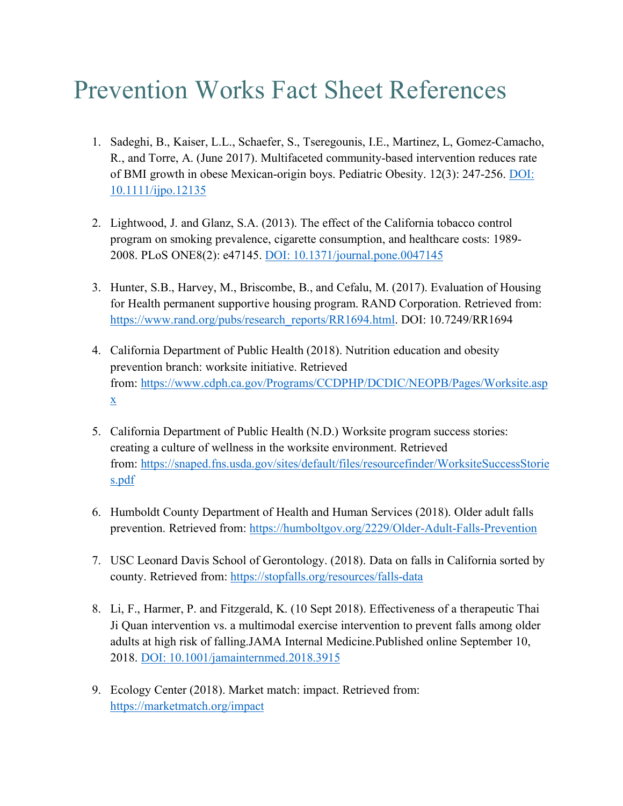## Prevention Works Fact Sheet References

- 1. Sadeghi, B., Kaiser, L.L., Schaefer, S., Tseregounis, I.E., Martinez, L, Gomez-Camacho, R., and Torre, A. (June 2017). Multifaceted community-based intervention reduces rate of BMI growth in obese Mexican-origin boys. Pediatric Obesity. 12(3): 247-256. DOI: 10.1111/ijpo.12135
- 2. Lightwood, J. and Glanz, S.A. (2013). The effect of the California tobacco control program on smoking prevalence, cigarette consumption, and healthcare costs: 1989- 2008. PLoS ONE8(2): e47145. DOI: 10.1371/journal.pone.0047145
- 3. Hunter, S.B., Harvey, M., Briscombe, B., and Cefalu, M. (2017). Evaluation of Housing for Health permanent supportive housing program. RAND Corporation. Retrieved from: https://www.rand.org/pubs/research\_reports/RR1694.html. DOI: 10.7249/RR1694
- 4. California Department of Public Health (2018). Nutrition education and obesity prevention branch: worksite initiative. Retrieved from: https://www.cdph.ca.gov/Programs/CCDPHP/DCDIC/NEOPB/Pages/Worksite.asp x
- 5. California Department of Public Health (N.D.) Worksite program success stories: creating a culture of wellness in the worksite environment. Retrieved from: https://snaped.fns.usda.gov/sites/default/files/resourcefinder/WorksiteSuccessStorie s.pdf
- 6. Humboldt County Department of Health and Human Services (2018). Older adult falls prevention. Retrieved from: https://humboltgov.org/2229/Older-Adult-Falls-Prevention
- 7. USC Leonard Davis School of Gerontology. (2018). Data on falls in California sorted by county. Retrieved from: https://stopfalls.org/resources/falls-data
- 8. Li, F., Harmer, P. and Fitzgerald, K. (10 Sept 2018). Effectiveness of a therapeutic Thai Ji Quan intervention vs. a multimodal exercise intervention to prevent falls among older adults at high risk of falling.JAMA Internal Medicine.Published online September 10, 2018. DOI: 10.1001/jamainternmed.2018.3915
- 9. Ecology Center (2018). Market match: impact. Retrieved from: https://marketmatch.org/impact